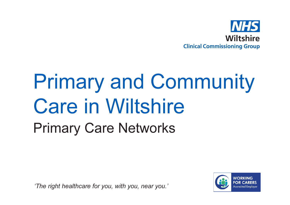

# Primary and Community Care in WiltshirePrimary Care Networks

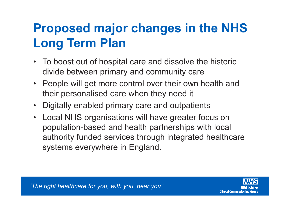# Proposed major changes in the NHS Long Term Plan

- To boost out of hospital care and dissolve the historic divide between primary and community care
- People will get more control over their own health and their personalised care when they need it
- Digitally enabled primary care and outpatients
- • Local NHS organisations will have greater focus on population-based and health partnerships with local authority funded services through integrated healthcare systems everywhere in England.

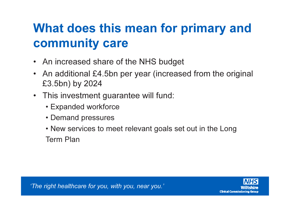## What does this mean for primary and community care

- An increased share of the NHS budget
- • An additional £4.5bn per year (increased from the original £3.5bn) by 2024
- This investment guarantee will fund:
	- Expanded workforce
	- Demand pressures
	- New services to meet relevant goals set out in the Long Term Plan

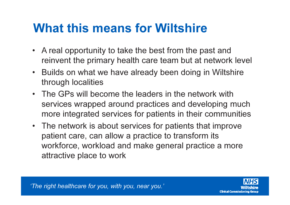#### What this means for Wiltshire

- A real opportunity to take the best from the past and reinvent the primary health care team but at network level
- $\bullet$  Builds on what we have already been doing in Wiltshirethrough localities
- The GPs will become the leaders in the network with services wrapped around practices and developing much more integrated services for patients in their communities
- The network is about services for patients that improve patient care, can allow a practice to transform its workforce, workload and make general practice a more attractive place to work

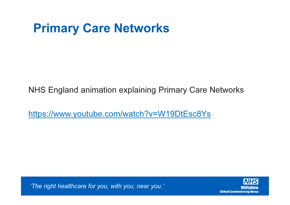NHS England animation explaining Primary Care Networks

https://www.youtube.com/watch?v=W19DtEsc8Ys

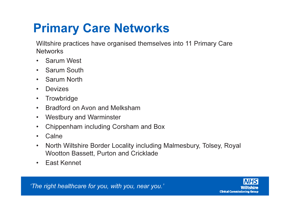Wiltshire practices have organised themselves into 11 Primary Care **Networks** 

- $\bullet$ Sarum West
- Sarum South
- •Sarum North
- •Devizes
- •**Trowbridge**
- •Bradford on Avon and Melksham
- •Westbury and Warminster
- •Chippenham including Corsham and Box
- •Calne
- • North Wiltshire Border Locality including Malmesbury, Tolsey, Royal Wootton Bassett, Purton and Cricklade
- •East Kennet

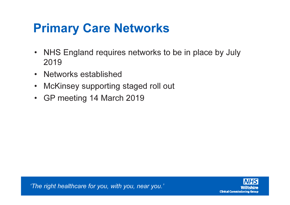- NHS England requires networks to be in place by July 2019
- Networks established
- McKinsey supporting staged roll out
- GP meeting 14 March 2019

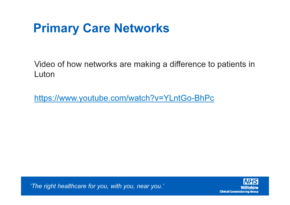Video of how networks are making a difference to patients in Luton

https://www.youtube.com/watch?v=YLntGo-BhPc